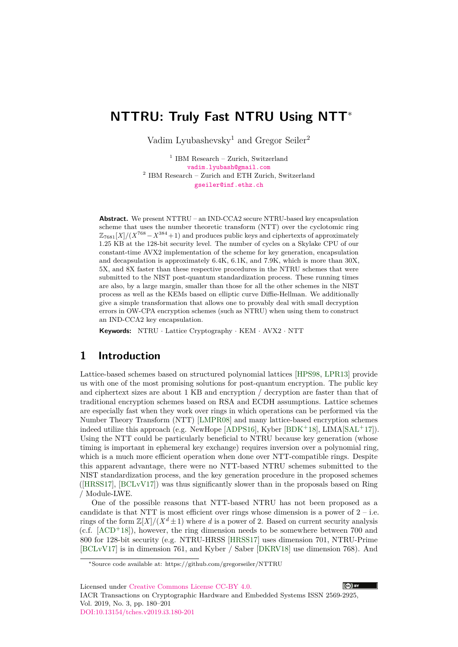# **NTTRU: Truly Fast NTRU Using NTT**<sup>∗</sup>

Vadim Lyubashevsky<sup>1</sup> and Gregor Seiler<sup>2</sup>

<sup>1</sup> IBM Research – Zurich, Switzerland [vadim.lyubash@gmail.com](mailto:vadim.lyubash@gmail.com) 2 IBM Research – Zurich and ETH Zurich, Switzerland [gseiler@inf.ethz.ch](mailto:gseiler@inf.ethz.ch)

**Abstract.** We present NTTRU – an IND-CCA2 secure NTRU-based key encapsulation scheme that uses the number theoretic transform (NTT) over the cyclotomic ring  $\mathbb{Z}_{7681}[X]/(X^{768}-X^{384}+1)$  and produces public keys and ciphertexts of approximately 1*.*25 KB at the 128-bit security level. The number of cycles on a Skylake CPU of our constant-time AVX2 implementation of the scheme for key generation, encapsulation and decapsulation is approximately 6*.*4K, 6*.*1K, and 7*.*9K, which is more than 30X, 5X, and 8X faster than these respective procedures in the NTRU schemes that were submitted to the NIST post-quantum standardization process. These running times are also, by a large margin, smaller than those for all the other schemes in the NIST process as well as the KEMs based on elliptic curve Diffie-Hellman. We additionally give a simple transformation that allows one to provably deal with small decryption errors in OW-CPA encryption schemes (such as NTRU) when using them to construct an IND-CCA2 key encapsulation.

**Keywords:** NTRU · Lattice Cryptography · KEM · AVX2 · NTT

# **1 Introduction**

Lattice-based schemes based on structured polynomial lattices [\[HPS98,](#page-21-0) [LPR13\]](#page-21-1) provide us with one of the most promising solutions for post-quantum encryption. The public key and ciphertext sizes are about 1 KB and encryption / decryption are faster than that of traditional encryption schemes based on RSA and ECDH assumptions. Lattice schemes are especially fast when they work over rings in which operations can be performed via the Number Theory Transform (NTT) [\[LMPR08\]](#page-21-2) and many lattice-based encryption schemes indeed utilize this approach (e.g. NewHope [\[ADPS16\]](#page-20-0), Kyber [\[BDK](#page-20-1)+18], LIMA[\[SAL](#page-21-3)+17]). Using the NTT could be particularly beneficial to NTRU because key generation (whose timing is important in ephemeral key exchange) requires inversion over a polynomial ring, which is a much more efficient operation when done over NTT-compatible rings. Despite this apparent advantage, there were no NTT-based NTRU schemes submitted to the NIST standardization process, and the key generation procedure in the proposed schemes ([\[HRSS17\]](#page-21-4), [\[BCLvV17\]](#page-20-2)) was thus significantly slower than in the proposals based on Ring / Module-LWE.

One of the possible reasons that NTT-based NTRU has not been proposed as a candidate is that NTT is most efficient over rings whose dimension is a power of  $2 - i.e.$ rings of the form  $\mathbb{Z}[X]/(X^d \pm 1)$  where *d* is a power of 2. Based on current security analysis  $(c.f. [ACD<sup>+</sup>18])$  $(c.f. [ACD<sup>+</sup>18])$  $(c.f. [ACD<sup>+</sup>18])$ , however, the ring dimension needs to be somewhere between 700 and 800 for 128-bit security (e.g. NTRU-HRSS [\[HRSS17\]](#page-21-4) uses dimension 701, NTRU-Prime [\[BCLvV17\]](#page-20-2) is in dimension 761, and Kyber / Saber [\[DKRV18\]](#page-21-5) use dimension 768). And

Licensed under [Creative Commons License CC-BY 4.0.](http://creativecommons.org/licenses/by/4.0/)





<sup>∗</sup>Source code available at: https://github.com/gregorseiler/NTTRU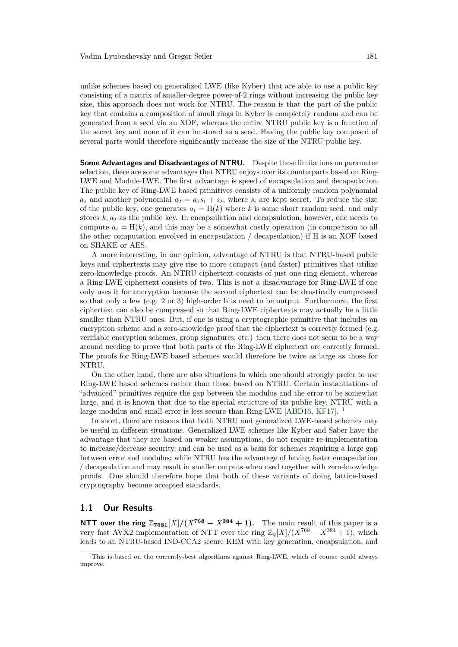unlike schemes based on generalized LWE (like Kyber) that are able to use a public key consisting of a matrix of smaller-degree power-of-2 rings without increasing the public key size, this approach does not work for NTRU. The reason is that the part of the public key that contains a composition of small rings in Kyber is completely random and can be generated from a seed via an XOF, whereas the entire NTRU public key is a function of the secret key and none of it can be stored as a seed. Having the public key composed of several parts would therefore significantly increase the size of the NTRU public key.

**Some Advantages and Disadvantages of NTRU.** Despite these limitations on parameter selection, there are some advantages that NTRU enjoys over its counterparts based on Ring-LWE and Module-LWE. The first advantage is speed of encapsulation and decapsulation. The public key of Ring-LWE based primitives consists of a uniformly random polynomial  $a_1$  and another polynomial  $a_2 = a_1 s_1 + s_2$ , where  $s_i$  are kept secret. To reduce the size of the public key, one generates  $a_1 = H(k)$  where k is some short random seed, and only stores  $k, a_2$  as the public key. In encapsulation and decapsulation, however, one needs to compute  $a_1 = H(k)$ , and this may be a somewhat costly operation (in comparison to all the other computation envolved in encapsulation / decapsulation) if H is an XOF based on SHAKE or AES.

A more interesting, in our opinion, advantage of NTRU is that NTRU-based public keys and ciphertexts may give rise to more compact (and faster) primitives that utilize zero-knowledge proofs. An NTRU ciphertext consists of just one ring element, whereas a Ring-LWE ciphertext consists of two. This is not a disadvantage for Ring-LWE if one only uses it for encryption because the second ciphertext can be drastically compressed so that only a few (e.g. 2 or 3) high-order bits need to be output. Furthermore, the first ciphertext can also be compressed so that Ring-LWE ciphertexts may actually be a little smaller than NTRU ones. But, if one is using a cryptographic primitive that includes an encryption scheme and a zero-knowledge proof that the ciphertext is correctly formed (e.g. verifiable encryption schemes, group signatures, etc.) then there does not seem to be a way around needing to prove that both parts of the Ring-LWE ciphertext are correctly formed. The proofs for Ring-LWE based schemes would therefore be twice as large as those for NTRU.

On the other hand, there are also situations in which one should strongly prefer to use Ring-LWE based schemes rather than those based on NTRU. Certain instantiations of "advanced" primitives require the gap between the modulus and the error to be somewhat large, and it is known that due to the special structure of its public key, NTRU with a large modulus and small error is less secure than Ring-LWE [\[ABD16,](#page-20-4) [KF17\]](#page-21-6). <sup>[1](#page-1-0)</sup>

In short, there are reasons that both NTRU and generalized LWE-based schemes may be useful in different situations. Generalized LWE schemes like Kyber and Saber have the advantage that they are based on weaker assumptions, do not require re-implementation to increase/decrease security, and can be used as a basis for schemes requiring a large gap between error and modulus; while NTRU has the advantage of having faster encapsulation / decapsulation and may result in smaller outputs when used together with zero-knowledge proofs. One should therefore hope that both of these variants of doing lattice-based cryptography become accepted standards.

## **1.1 Our Results**

**NTT over the ring**  $\mathbb{Z}_{7681}[X]/(X^{768} - X^{384} + 1)$ . The main result of this paper is a very fast AVX2 implementation of NTT over the ring  $\mathbb{Z}_q[X]/(X^{768} - X^{384} + 1)$ , which leads to an NTRU-based IND-CCA2 secure KEM with key generation, encapsulation, and

<span id="page-1-0"></span><sup>1</sup>This is based on the currently-best algorithms against Ring-LWE, which of course could always improve.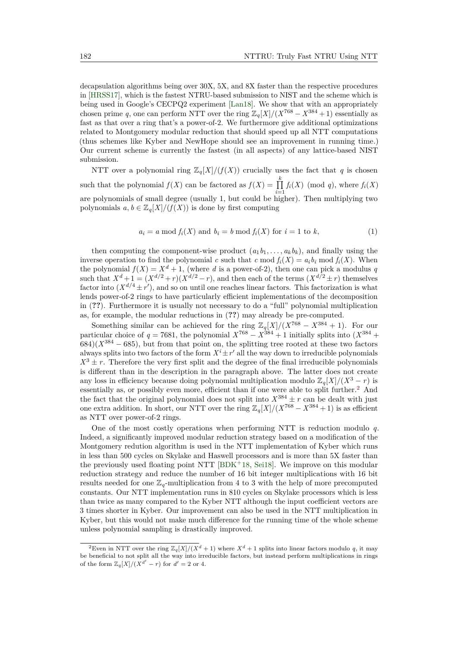decapsulation algorithms being over 30X, 5X, and 8X faster than the respective procedures in [\[HRSS17\]](#page-21-4), which is the fastest NTRU-based submission to NIST and the scheme which is being used in Google's CECPQ2 experiment [\[Lan18\]](#page-21-7). We show that with an appropriately chosen prime *q*, one can perform NTT over the ring  $\mathbb{Z}_q[X]/(X^{768} - X^{384} + 1)$  essentially as fast as that over a ring that's a power-of-2. We furthermore give additional optimizations related to Montgomery modular reduction that should speed up all NTT computations (thus schemes like Kyber and NewHope should see an improvement in running time.) Our current scheme is currently the fastest (in all aspects) of any lattice-based NIST submission.

NTT over a polynomial ring  $\mathbb{Z}_q[X]/(f(X))$  crucially uses the fact that *q* is chosen such that the polynomial  $f(X)$  can be factored as  $f(X) = \prod_{k=1}^{k}$  $\prod_{i=1}$   $f_i(X)$  (mod *q*), where  $f_i(X)$ are polynomials of small degree (usually 1, but could be higher). Then multiplying two polynomials  $a, b \in \mathbb{Z}_q[X]/(f(X))$  is done by first computing

$$
a_i = a \bmod f_i(X) \text{ and } b_i = b \bmod f_i(X) \text{ for } i = 1 \text{ to } k,
$$
\n
$$
(1)
$$

then computing the component-wise product  $(a_1b_1, \ldots, a_kb_k)$ , and finally using the inverse operation to find the polynomial *c* such that *c* mod  $f_i(X) = a_i b_i \text{ mod } f_i(X)$ . When the polynomial  $f(X) = X^d + 1$ , (where *d* is a power-of-2), then one can pick a modulus *q* such that  $X^d + 1 = (X^{d/2} + r)(X^{d/2} - r)$ , and then each of the terms  $(X^{d/2} \pm r)$  themselves factor into  $(X^{d/4} \pm r')$ , and so on until one reaches linear factors. This factorization is what lends power-of-2 rings to have particularly efficient implementations of the decomposition in (**??**). Furthermore it is usually not necessary to do a "full" polynomial multiplication as, for example, the modular reductions in (**??**) may already be pre-computed.

Something similar can be achieved for the ring  $\mathbb{Z}_q[X]/(X^{768} - X^{384} + 1)$ . For our particular choice of  $q = 7681$ , the polynomial  $X^{768} - X^{384} + 1$  initially splits into  $(X^{384} +$  $684$  $(X^{384} - 685)$ , but from that point on, the splitting tree rooted at these two factors always splits into two factors of the form  $X^{i} \pm r'$  all the way down to irreducible polynomials  $X^3 \pm r$ . Therefore the very first split and the degree of the final irreducible polynomials is different than in the description in the paragraph above. The latter does not create any loss in efficiency because doing polynomial multiplication modulo  $\mathbb{Z}_q[X]/(X^3 - r)$  is essentially as, or possibly even more, efficient than if one were able to split further.[2](#page-2-0) And the fact that the original polynomial does not split into  $X^{384} \pm r$  can be dealt with just one extra addition. In short, our NTT over the ring  $\mathbb{Z}_q[X]/(X^{768} - X^{384} + 1)$  is as efficient as NTT over power-of-2 rings.

One of the most costly operations when performing NTT is reduction modulo *q*. Indeed, a significantly improved modular reduction strategy based on a modification of the Montgomery redution algorithm is used in the NTT implementation of Kyber which runs in less than 500 cycles on Skylake and Haswell processors and is more than 5X faster than the previously used floating point NTT [\[BDK](#page-20-1)<sup>+</sup>18, [Sei18\]](#page-21-8). We improve on this modular reduction strategy and reduce the number of 16 bit integer multiplications with 16 bit results needed for one  $\mathbb{Z}_q$ -multiplication from 4 to 3 with the help of more precomputed constants. Our NTT implementation runs in 810 cycles on Skylake processors which is less than twice as many compared to the Kyber NTT although the input coefficient vectors are 3 times shorter in Kyber. Our improvement can also be used in the NTT multiplication in Kyber, but this would not make much difference for the running time of the whole scheme unless polynomial sampling is drastically improved.

<span id="page-2-0"></span><sup>&</sup>lt;sup>2</sup>Even in NTT over the ring  $\mathbb{Z}_q[X]/(X^d+1)$  where  $X^d+1$  splits into linear factors modulo *q*, it may be beneficial to not split all the way into irreducible factors, but instead perform multiplications in rings of the form  $\mathbb{Z}_q[X]/(X^{d'}-r)$  for  $d'=2$  or 4.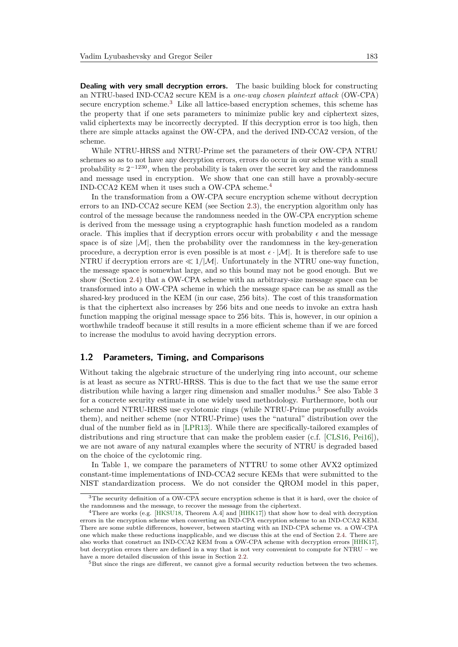**Dealing with very small decryption errors.** The basic building block for constructing an NTRU-based IND-CCA2 secure KEM is a *one-way chosen plaintext attack* (OW-CPA) secure encryption scheme.[3](#page-3-0) Like all lattice-based encryption schemes, this scheme has the property that if one sets parameters to minimize public key and ciphertext sizes, valid ciphertexts may be incorrectly decrypted. If this decryption error is too high, then there are simple attacks against the OW-CPA, and the derived IND-CCA2 version, of the scheme.

While NTRU-HRSS and NTRU-Prime set the parameters of their OW-CPA NTRU schemes so as to not have any decryption errors, errors do occur in our scheme with a small probability  $\approx 2^{-1230}$ , when the probability is taken over the secret key and the randomness and message used in encryption. We show that one can still have a provably-secure IND-CCA2 KEM when it uses such a OW-CPA scheme.[4](#page-3-1)

In the transformation from a OW-CPA secure encryption scheme without decryption errors to an IND-CCA2 secure KEM (see Section [2.3\)](#page-7-0), the encryption algorithm only has control of the message because the randomness needed in the OW-CPA encryption scheme is derived from the message using a cryptographic hash function modeled as a random oracle. This implies that if decryption errors occur with probability  $\epsilon$  and the message space is of size  $|M|$ , then the probability over the randomness in the key-generation procedure, a decryption error is even possible is at most  $\epsilon \cdot |\mathcal{M}|$ . It is therefore safe to use NTRU if decryption errors are  $\ll 1/M$ . Unfortunately in the NTRU one-way function, the message space is somewhat large, and so this bound may not be good enough. But we show (Section [2.4\)](#page-9-0) that a OW-CPA scheme with an arbitrary-size message space can be transformed into a OW-CPA scheme in which the message space can be as small as the shared-key produced in the KEM (in our case, 256 bits). The cost of this transformation is that the ciphertext also increases by 256 bits and one needs to invoke an extra hash function mapping the original message space to 256 bits. This is, however, in our opinion a worthwhile tradeoff because it still results in a more efficient scheme than if we are forced to increase the modulus to avoid having decryption errors.

#### **1.2 Parameters, Timing, and Comparisons**

Without taking the algebraic structure of the underlying ring into account, our scheme is at least as secure as NTRU-HRSS. This is due to the fact that we use the same error distribution while having a larger ring dimension and smaller modulus.<sup>[5](#page-3-2)</sup> See also Table [3](#page-5-0) for a concrete security estimate in one widely used methodology. Furthermore, both our scheme and NTRU-HRSS use cyclotomic rings (while NTRU-Prime purposefully avoids them), and neither scheme (nor NTRU-Prime) uses the "natural" distribution over the dual of the number field as in [\[LPR13\]](#page-21-1). While there are specifically-tailored examples of distributions and ring structure that can make the problem easier (c.f. [\[CLS16,](#page-21-9) [Pei16\]](#page-21-10)), we are not aware of any natural examples where the security of NTRU is degraded based on the choice of the cyclotomic ring.

In Table [1,](#page-4-0) we compare the parameters of NTTRU to some other AVX2 optimized constant-time implementations of IND-CCA2 secure KEMs that were submitted to the NIST standardization process. We do not consider the QROM model in this paper,

<span id="page-3-2"></span><sup>5</sup>But since the rings are different, we cannot give a formal security reduction between the two schemes.

<span id="page-3-0"></span><sup>&</sup>lt;sup>3</sup>The security definition of a OW-CPA secure encryption scheme is that it is hard, over the choice of the randomness and the message, to recover the message from the ciphertext.

<span id="page-3-1"></span><sup>4</sup>There are works (e.g. [\[HKSU18,](#page-21-11) Theorem A.4] and [\[HHK17\]](#page-21-12)) that show how to deal with decryption errors in the encryption scheme when converting an IND-CPA encryption scheme to an IND-CCA2 KEM. There are some subtle differences, however, between starting with an IND-CPA scheme vs. a OW-CPA one which make these reductions inapplicable, and we discuss this at the end of Section [2.4.](#page-9-0) There are also works that construct an IND-CCA2 KEM from a OW-CPA scheme with decryption errors [\[HHK17\]](#page-21-12), but decryption errors there are defined in a way that is not very convenient to compute for NTRU – we have a more detailed discussion of this issue in Section [2.2.](#page-6-0)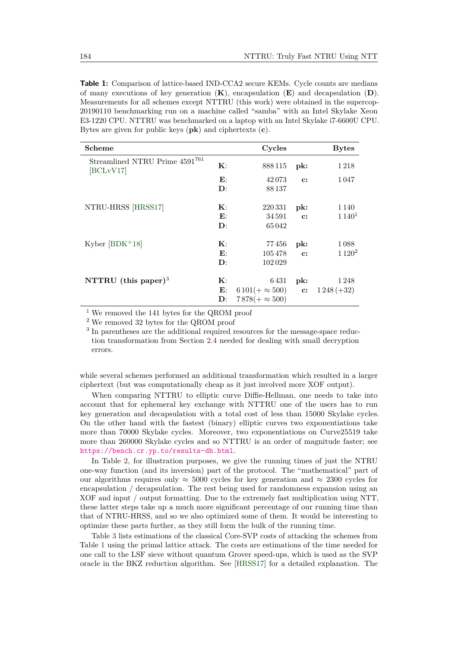<span id="page-4-0"></span>**Table 1:** Comparison of lattice-based IND-CCA2 secure KEMs. Cycle counts are medians of many executions of key generation (**K**), encapsulation (**E**) and decapsulation (**D**). Measurements for all schemes except NTTRU (this work) were obtained in the supercop-20190110 benchmarking run on a machine called "samba" with an Intel Skylake Xeon E3-1220 CPU. NTTRU was benchmarked on a laptop with an Intel Skylake i7-6600U CPU. Bytes are given for public keys (**pk**) and ciphertexts (**c**).

| Scheme                                      |                | Cycles                  |                | <b>Bytes</b>      |
|---------------------------------------------|----------------|-------------------------|----------------|-------------------|
| Streamlined NTRU Prime 4591761<br>[BCLvV17] | $\mathbf{K}$ : | 888115                  | pk:            | 1218              |
|                                             | $\mathbf{E}$ : | 42073                   | $\mathbf{c}$ : | 1047              |
|                                             | $\mathbf{D}$ : | 88137                   |                |                   |
| NTRU-HRSS [HRSS17]                          | $\mathbf{K}$ : | 220331                  | pk:            | 1 1 4 0           |
|                                             | $\mathbf{E}$ : | 34 591                  | $\mathbf{c}$ : | 1140 <sup>1</sup> |
|                                             | $\mathbf{D}$ : | 65042                   |                |                   |
| Kyber $[BDK+18]$                            | $\mathbf{K}$ : | 77456                   | pk:            | 1088              |
|                                             | $\mathbf{E}$ : | 105478                  | $\mathbf{c}$ : | $1120^2$          |
|                                             | $\mathbf{D}$ : | 102029                  |                |                   |
| NTTRU (this paper) <sup>3</sup>             | $\mathbf{K}$   | 6 431                   | pk:            | 1 2 4 8           |
|                                             | $\mathbf{E}$ : | $6101(+\approx 500)$ c: |                | $1248 (+32)$      |
|                                             | $\mathbf{D}$ : | $7878(+\approx 500)$    |                |                   |

<sup>1</sup> We removed the 141 bytes for the QROM proof

<sup>2</sup> We removed 32 bytes for the QROM proof

<sup>3</sup> In parentheses are the additional required resources for the message-space reduction transformation from Section [2.4](#page-9-0) needed for dealing with small decryption errors.

while several schemes performed an additional transformation which resulted in a larger ciphertext (but was computationally cheap as it just involved more XOF output).

When comparing NTTRU to elliptic curve Diffie-Hellman, one needs to take into account that for ephemeral key exchange with NTTRU one of the users has to run key generation and decapsulation with a total cost of less than 15000 Skylake cycles. On the other hand with the fastest (binary) elliptic curves two exponentiations take more than 70000 Skylake cycles. Moreover, two exponentiations on Curve25519 take more than 260000 Skylake cycles and so NTTRU is an order of magnitude faster; see <https://bench.cr.yp.to/results-dh.html>.

In Table [2,](#page-5-1) for illustration purposes, we give the running times of just the NTRU one-way function (and its inversion) part of the protocol. The "mathematical" part of our algorithms requires only  $\approx 5000$  cycles for key generation and  $\approx 2300$  cycles for encapsulation / decapsulation. The rest being used for randomness expansion using an XOF and input / output formatting. Due to the extremely fast multiplication using NTT, these latter steps take up a much more significant percentage of our running time than that of NTRU-HRSS, and so we also optimized some of them. It would be interesting to optimize these parts further, as they still form the bulk of the running time.

Table [3](#page-5-0) lists estimations of the classical Core-SVP costs of attacking the schemes from Table [1](#page-4-0) using the primal lattice attack. The costs are estimations of the time needed for one call to the LSF sieve without quantum Grover speed-ups, which is used as the SVP oracle in the BKZ reduction algorithm. See [\[HRSS17\]](#page-21-4) for a detailed explanation. The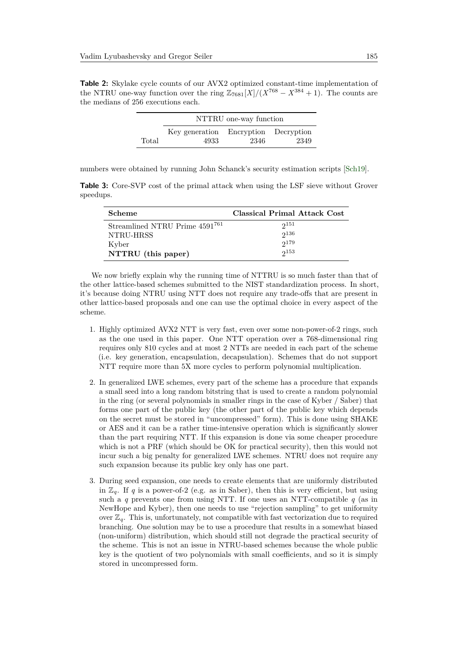<span id="page-5-1"></span>**Table 2:** Skylake cycle counts of our AVX2 optimized constant-time implementation of the NTRU one-way function over the ring  $\mathbb{Z}_{7681}[X]/(X^{768} - X^{384} + 1)$ . The counts are the medians of 256 executions each.

|       | NTTRU one-way function               |      |      |  |
|-------|--------------------------------------|------|------|--|
|       | Key generation Encryption Decryption |      |      |  |
| Total | 4933                                 | 2346 | 2349 |  |

numbers were obtained by running John Schanck's security estimation scripts [\[Sch19\]](#page-21-13).

<span id="page-5-0"></span>**Table 3:** Core-SVP cost of the primal attack when using the LSF sieve without Grover speedups.

| <b>Scheme</b>                              | Classical Primal Attack Cost |
|--------------------------------------------|------------------------------|
| Streamlined NTRU Prime 4591 <sup>761</sup> | $2^{151}$                    |
| NTRU-HRSS                                  | $2^{136}$                    |
| Kyber                                      | $2^{179}$                    |
| NTTRU (this paper)                         | 2153                         |

We now briefly explain why the running time of NTTRU is so much faster than that of the other lattice-based schemes submitted to the NIST standardization process. In short, it's because doing NTRU using NTT does not require any trade-offs that are present in other lattice-based proposals and one can use the optimal choice in every aspect of the scheme.

- 1. Highly optimized AVX2 NTT is very fast, even over some non-power-of-2 rings, such as the one used in this paper. One NTT operation over a 768-dimensional ring requires only 810 cycles and at most 2 NTTs are needed in each part of the scheme (i.e. key generation, encapsulation, decapsulation). Schemes that do not support NTT require more than 5X more cycles to perform polynomial multiplication.
- 2. In generalized LWE schemes, every part of the scheme has a procedure that expands a small seed into a long random bitstring that is used to create a random polynomial in the ring (or several polynomials in smaller rings in the case of Kyber / Saber) that forms one part of the public key (the other part of the public key which depends on the secret must be stored in "uncompressed" form). This is done using SHAKE or AES and it can be a rather time-intensive operation which is significantly slower than the part requiring NTT. If this expansion is done via some cheaper procedure which is not a PRF (which should be OK for practical security), then this would not incur such a big penalty for generalized LWE schemes. NTRU does not require any such expansion because its public key only has one part.
- 3. During seed expansion, one needs to create elements that are uniformly distributed in  $\mathbb{Z}_q$ . If *q* is a power-of-2 (e.g. as in Saber), then this is very efficient, but using such a *q* prevents one from using NTT. If one uses an NTT-compatible *q* (as in NewHope and Kyber), then one needs to use "rejection sampling" to get uniformity over  $\mathbb{Z}_q$ . This is, unfortunately, not compatible with fast vectorization due to required branching. One solution may be to use a procedure that results in a somewhat biased (non-uniform) distribution, which should still not degrade the practical security of the scheme. This is not an issue in NTRU-based schemes because the whole public key is the quotient of two polynomials with small coefficients, and so it is simply stored in uncompressed form.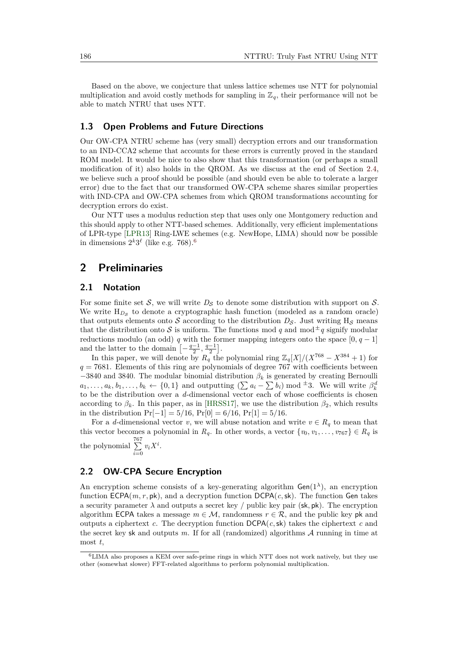Based on the above, we conjecture that unless lattice schemes use NTT for polynomial multiplication and avoid costly methods for sampling in  $\mathbb{Z}_q$ , their performance will not be able to match NTRU that uses NTT.

#### **1.3 Open Problems and Future Directions**

Our OW-CPA NTRU scheme has (very small) decryption errors and our transformation to an IND-CCA2 scheme that accounts for these errors is currently proved in the standard ROM model. It would be nice to also show that this transformation (or perhaps a small modification of it) also holds in the QROM. As we discuss at the end of Section [2.4,](#page-9-0) we believe such a proof should be possible (and should even be able to tolerate a larger error) due to the fact that our transformed OW-CPA scheme shares similar properties with IND-CPA and OW-CPA schemes from which QROM transformations accounting for decryption errors do exist.

Our NTT uses a modulus reduction step that uses only one Montgomery reduction and this should apply to other NTT-based schemes. Additionally, very efficient implementations of LPR-type [\[LPR13\]](#page-21-1) Ring-LWE schemes (e.g. NewHope, LIMA) should now be possible in dimensions  $2^k 3^\ell$  (like e.g. 7[6](#page-6-1)8).<sup>6</sup>

# <span id="page-6-2"></span>**2 Preliminaries**

#### **2.1 Notation**

For some finite set  $S$ , we will write  $D_S$  to denote some distribution with support on  $S$ . We write  $H_{Ds}$  to denote a cryptographic hash function (modeled as a random oracle) that outputs elements onto S according to the distribution  $D_{\mathcal{S}}$ . Just writing H<sub>S</sub> means that the distribution onto S is uniform. The functions mod q and mod<sup> $\pm$ </sup>q signify modular reductions modulo (an odd)  $q$  with the former mapping integers onto the space  $[0, q - 1]$ and the latter to the domain  $\left[-\frac{q-1}{2}, \frac{q-1}{2}\right]$ .

In this paper, we will denote by  $R_q$  the polynomial ring  $\mathbb{Z}_q[X]/(X^{768} - X^{384} + 1)$  for  $q = 7681$ . Elements of this ring are polynomials of degree 767 with coefficients between  $-3840$  and 3840. The modular binomial distribution  $\beta_k$  is generated by creating Bernoulli  $a_1, \ldots, a_k, b_1, \ldots, b_k \leftarrow \{0, 1\}$  and outputting  $(\sum a_i - \sum b_i)$  mod  $\pm 3$ . We will write  $\beta_k^d$ to be the distribution over a *d*-dimensional vector each of whose coefficients is chosen according to  $\beta_k$ . In this paper, as in [\[HRSS17\]](#page-21-4), we use the distribution  $\beta_2$ , which results in the distribution Pr[−1] = 5*/*16*,* Pr[0] = 6*/*16*,* Pr[1] = 5*/*16.

For a *d*-dimensional vector *v*, we will abuse notation and write  $v \in R_q$  to mean that this vector becomes a polynomial in  $R_q$ . In other words, a vector  $\{v_0, v_1, \ldots, v_{767}\} \in R_q$  is the polynomial  $\sum_{ }^{ 767}$  $\sum_{i=0}^{n} v_i X^i$ .

## <span id="page-6-0"></span>**2.2 OW-CPA Secure Encryption**

An encryption scheme consists of a key-generating algorithm  $Gen(1^{\lambda})$ , an encryption function  $\mathsf{ECPA}(m, r, \mathsf{pk})$ , and a decryption function  $\mathsf{DCPA}(c, \mathsf{sk})$ . The function Gen takes a security parameter  $\lambda$  and outputs a secret key / public key pair (sk, pk). The encryption algorithm ECPA takes a message  $m \in \mathcal{M}$ , randomness  $r \in \mathcal{R}$ , and the public key pk and outputs a ciphertext *c*. The decryption function  $DCPA(c, sk)$  takes the ciphertext *c* and the secret key sk and outputs  $m$ . If for all (randomized) algorithms  $A$  running in time at most *t*,

<span id="page-6-1"></span><sup>6</sup>LIMA also proposes a KEM over safe-prime rings in which NTT does not work natively, but they use other (somewhat slower) FFT-related algorithms to perform polynomial multiplication.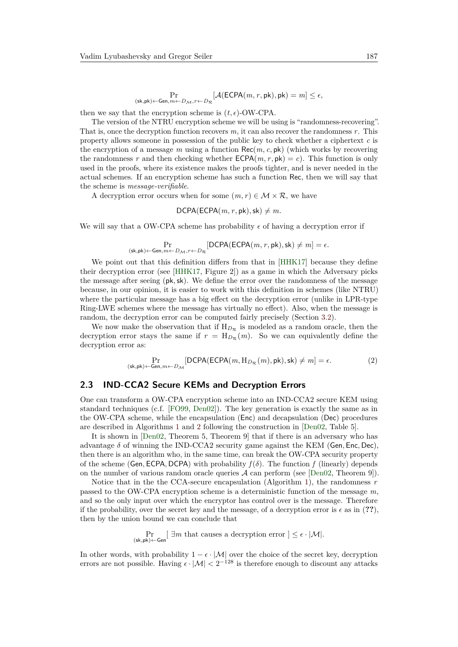$$
\Pr_{(\mathsf{sk}, \mathsf{pk}) \leftarrow \mathsf{Gen}, m \leftarrow D_{\mathcal{M}}, r \leftarrow D_{\mathcal{R}}}[\mathcal{A}(\mathsf{ECPA}(m, r, \mathsf{pk}), \mathsf{pk}) = m] \leq \epsilon,
$$

then we say that the encryption scheme is  $(t, \epsilon)$ -OW-CPA.

The version of the NTRU encryption scheme we will be using is "randomness-recovering". That is, once the decryption function recovers *m*, it can also recover the randomness *r*. This property allows someone in possession of the public key to check whether a ciphertext *c* is the encryption of a message  $m$  using a function  $\text{Rec}(m, c, \text{pk})$  (which works by recovering the randomness r and then checking whether  $\mathsf{ECPA}(m, r, \mathsf{pk}) = c$ ). This function is only used in the proofs, where its existence makes the proofs tighter, and is never needed in the actual schemes. If an encryption scheme has such a function Rec, then we will say that the scheme is *message-verifiable*.

A decryption error occurs when for some  $(m, r) \in M \times \mathcal{R}$ , we have

DCPA(ECPA(
$$
m, r, pk
$$
), sk $) \neq m$ .

We will say that a OW-CPA scheme has probability  $\epsilon$  of having a decryption error if

$$
\Pr_{(\mathsf{sk}, \mathsf{pk}) \leftarrow \mathsf{Gen}, m \leftarrow D_{\mathcal{M}}, r \leftarrow D_{\mathcal{R}}}[\mathsf{DCPA}(\mathsf{ECPA}(m, r, \mathsf{pk}), \mathsf{sk}) \neq m] = \epsilon.
$$

We point out that this definition differs from that in [\[HHK17\]](#page-21-12) because they define their decryption error (see [\[HHK17,](#page-21-12) Figure 2]) as a game in which the Adversary picks the message after seeing (pk*,*sk). We define the error over the randomness of the message because, in our opinion, it is easier to work with this definition in schemes (like NTRU) where the particular message has a big effect on the decryption error (unlike in LPR-type Ring-LWE schemes where the message has virtually no effect). Also, when the message is random, the decryption error can be computed fairly precisely (Section [3.2\)](#page-11-0).

We now make the observation that if  $H_{D_R}$  is modeled as a random oracle, then the decryption error stays the same if  $r = H_{D_R}(m)$ . So we can equivalently define the decryption error as:

$$
\Pr_{(\mathsf{sk}, \mathsf{pk}) \leftarrow \mathsf{Gen}, m \leftarrow D_{\mathcal{M}}} [\mathsf{DCPA}(\mathsf{ECPA}(m, \mathsf{H}_{D_{\mathcal{R}}}(m), \mathsf{pk}), \mathsf{sk}) \neq m] = \epsilon. \tag{2}
$$

#### <span id="page-7-0"></span>**2.3 IND-CCA2 Secure KEMs and Decryption Errors**

One can transform a OW-CPA encryption scheme into an IND-CCA2 secure KEM using standard techniques (c.f. [\[FO99,](#page-21-14) [Den02\]](#page-21-15)). The key generation is exactly the same as in the OW-CPA scheme, while the encapsulation (Enc) and decapsulation (Dec) procedures are described in Algorithms [1](#page-8-0) and [2](#page-8-1) following the construction in [\[Den02,](#page-21-15) Table 5].

It is shown in [\[Den02,](#page-21-15) Theorem 5, Theorem 9] that if there is an adversary who has advantage *δ* of winning the IND-CCA2 security game against the KEM (Gen*,* Enc*,* Dec), then there is an algorithm who, in the same time, can break the OW-CPA security property of the scheme (Gen, ECPA, DCPA) with probability  $f(\delta)$ . The function  $f$  (linearly) depends on the number of various random oracle queries  $A$  can perform (see [\[Den02,](#page-21-15) Theorem 9]).

Notice that in the the CCA-secure encapsulation (Algorithm [1\)](#page-8-0), the randomness *r* passed to the OW-CPA encryption scheme is a deterministic function of the message *m*, and so the only input over which the encryptor has control over is the message. Therefore if the probability, over the secret key and the message, of a decryption error is  $\epsilon$  as in (??), then by the union bound we can conclude that

$$
\Pr_{(\mathsf{sk},\mathsf{pk})\leftarrow \mathsf{Gen}}\big[\;\exists m\;\text{that causes a decryption error}\; \big] \leq \epsilon \cdot |\mathcal{M}|.
$$

In other words, with probability  $1 - \epsilon \cdot |\mathcal{M}|$  over the choice of the secret key, decryption errors are not possible. Having  $\epsilon \cdot |\mathcal{M}| < 2^{-128}$  is therefore enough to discount any attacks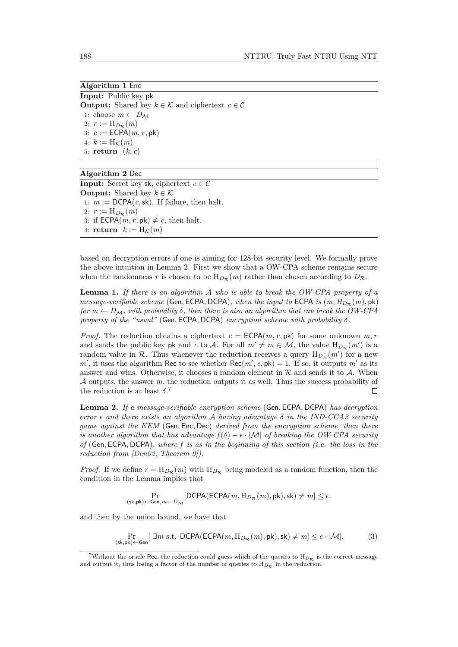<span id="page-8-0"></span>**Algorithm 1** Enc **Input:** Public key pk **Output:** Shared key  $k \in \mathcal{K}$  and ciphertext  $c \in \mathcal{C}$ 1: choose  $m \leftarrow D_M$ 2:  $r := H_{D_{\mathcal{R}}}(m)$  $c := \mathsf{ECPA}(m, r, \mathsf{pk})$ 4:  $k := H_K(m)$ 5: **return** (*k, c*)

#### <span id="page-8-1"></span>**Algorithm 2** Dec

**Input:** Secret key sk, ciphertext  $c \in \mathcal{C}$ **Output:** Shared key  $k \in \mathcal{K}$ 1:  $m := \text{DCPA}(c, sk)$ . If failure, then halt. 2:  $r := H_{D_{\mathcal{R}}}(m)$ 3: if  $\mathsf{ECPA}(m, r, \mathsf{pk}) \neq c$ , then halt. 4: **return**  $k := H_K(m)$ 

based on decryption errors if one is aiming for 128-bit security level. We formally prove the above intuition in Lemma [2.](#page-8-2) First we show that a OW-CPA scheme remains secure when the randomness *r* is chosen to be  $H_{D_{\mathcal{R}}}(m)$  rather than chosen according to  $D_{\mathcal{R}}$ .

<span id="page-8-4"></span>**Lemma 1.** *If there is an algorithm* A *who is able to break the OW-CPA property of a message-verifiable scheme* (Gen, ECPA, DCPA)*, when the input to* ECPA *is*  $(m, H_{D_{\mathcal{R}}}(m), \text{pk})$ *for*  $m \leftarrow D_M$ , with probability  $\delta$ , then there is also an algorithm that can break the OW-CPA *property of the "usual"* (Gen*,* ECPA*,* DCPA) *encryption scheme with probability δ.*

*Proof.* The reduction obtains a ciphertext  $c = \text{ECPA}(m, r, \text{pk})$  for some unknown  $m, r$ and sends the public key pk and *c* to A. For all  $m' \neq m \in \mathcal{M}$ , the value  $H_{D_{\mathcal{R}}}(m')$  is a random value in  $\mathcal{R}$ . Thus whenever the reduction receives a query  $H_{D_{\mathcal{R}}}(m')$  for a new  $m'$ , it uses the algorithm Rec to see whether  $Rec(m', c, pk) = 1$ . If so, it outputs  $m'$  as its answer and wins. Otherwise, it chooses a random element in  $R$  and sends it to  $A$ . When A outputs, the answer *m*, the reduction outputs it as well. Thus the success probability of the reduction is at least  $\delta$ .<sup>[7](#page-8-3)</sup>  $\Box$ 

<span id="page-8-2"></span>**Lemma 2.** *If a message-verifiable encryption scheme* (Gen*,* ECPA*,* DCPA) *has decryption error*  $\epsilon$  *and there exists an algorithm* A *having advantage*  $\delta$  *in the IND-CCA2 security game against the KEM* (Gen*,* Enc*,* Dec) *derived from the encryption scheme, then there is another algorithm that has advantage*  $f(\delta) - \epsilon \cdot |\mathcal{M}|$  *of breaking the OW-CPA security of* (Gen*,* ECPA*,* DCPA)*, where f is as in the beginning of this section (i.e. the loss in the reduction from [\[Den02,](#page-21-15) Theorem 9]).*

*Proof.* If we define  $r = H_{D_R}(m)$  with  $H_{D_R}$  being modeled as a random function, then the condition in the Lemma implies that

$$
\Pr_{\left(\textbf{s}{\mathsf{k}}, \textbf{p}{\mathsf{k}}\right) \leftarrow \text{Gen}, m \leftarrow D_{\mathcal{M}}}\left[\text{DCPA}(\text{ECPA}(m, \text{H}_{D_{\mathcal{R}}}(m), \textbf{p}{\mathsf{k}}), \textbf{s}{\mathsf{k}}) \neq m\right] \leq \epsilon,
$$

and then by the union bound, we have that

$$
\Pr_{(\mathsf{sk}, \mathsf{pk}) \leftarrow \mathsf{Gen}}\left[\; \exists m \text{ s.t. } \mathsf{DCPA}(\mathsf{ECPA}(m, \mathsf{H}_{D_{\mathcal{R}}}(m), \mathsf{pk}), \mathsf{sk}) \neq m\right] \leq \epsilon \cdot |\mathcal{M}|. \tag{3}
$$

<span id="page-8-3"></span><sup>&</sup>lt;sup>7</sup>Without the oracle Rec, the reduction could guess which of the queries to  $H_{D_{\mathcal{R}}}$  is the correct message and output it, thus losing a factor of the number of queries to  $H_{D_{\mathcal{R}}}$  in the reduction.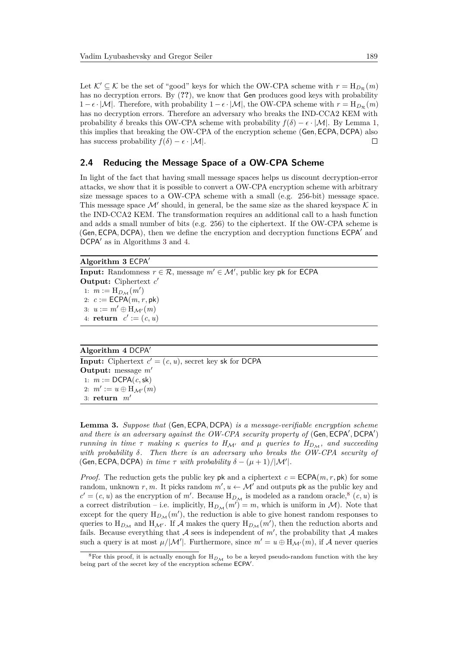Let  $\mathcal{K}' \subseteq \mathcal{K}$  be the set of "good" keys for which the OW-CPA scheme with  $r = H_{D_R}(m)$ has no decryption errors. By (**??**), we know that Gen produces good keys with probability  $1 - \epsilon \cdot |\mathcal{M}|$ . Therefore, with probability  $1 - \epsilon \cdot |\mathcal{M}|$ , the OW-CPA scheme with  $r = H_{D_{\mathcal{P}}}(m)$ has no decryption errors. Therefore an adversary who breaks the IND-CCA2 KEM with probability  $\delta$  breaks this OW-CPA scheme with probability  $f(\delta) - \epsilon \cdot |\mathcal{M}|$ . By Lemma [1,](#page-8-4) this implies that breaking the OW-CPA of the encryption scheme (Gen*,* ECPA*,* DCPA) also has success probability  $f(\delta) - \epsilon \cdot |\mathcal{M}|$ .  $\Box$ 

### <span id="page-9-0"></span>**2.4 Reducing the Message Space of a OW-CPA Scheme**

In light of the fact that having small message spaces helps us discount decryption-error attacks, we show that it is possible to convert a OW-CPA encryption scheme with arbitrary size message spaces to a OW-CPA scheme with a small (e.g. 256-bit) message space. This message space  $\mathcal{M}'$  should, in general, be the same size as the shared keyspace  $\mathcal K$  in the IND-CCA2 KEM. The transformation requires an additional call to a hash function and adds a small number of bits (e.g. 256) to the ciphertext. If the OW-CPA scheme is (Gen, ECPA, DCPA), then we define the encryption and decryption functions ECPA' and DCPA' as in Algorithms [3](#page-9-1) and [4.](#page-9-2)

#### <span id="page-9-1"></span>**Algorithm 3** ECPA<sup> $\prime$ </sup>

**Input:** Randomness  $r \in \mathcal{R}$ , message  $m' \in \mathcal{M}'$ , public key pk for ECPA **Output:** Ciphertext *c* 0 1:  $m := H_{D_{\mathcal{M}}}(m')$ 2:  $c := \text{ECPA}(m, r, \text{pk})$ 3:  $u := m' \oplus H_{\mathcal{M}'}(m)$ 4: **return**  $c' := (c, u)$ 

<span id="page-9-2"></span>**Algorithm 4 DCPA**<sup> $\prime$ </sup> **Input:** Ciphertext  $c' = (c, u)$ , secret key sk for DCPA **Output:** message  $m'$ 1:  $m := \text{DCPA}(c, sk)$ 2:  $m' := u \oplus H_{\mathcal{M}'}(m)$ 3: **return**  $m'$ 

**Lemma 3.** *Suppose that* (Gen*,* ECPA*,* DCPA) *is a message-verifiable encryption scheme* and there is an adversary against the OW-CPA security property of (Gen, ECPA', DCPA') *running in time*  $\tau$  *making*  $\kappa$  *queries to*  $H_{\mathcal{M}}$  *and*  $\mu$  *queries to*  $H_{D_M}$ *, and succeeding with probability δ. Then there is an adversary who breaks the OW-CPA security of* (Gen, ECPA, DCPA) *in time*  $\tau$  *with probability*  $\delta - (\mu + 1)/|\mathcal{M}'|$ *.* 

*Proof.* The reduction gets the public key pk and a ciphertext  $c = \text{ECPA}(m, r, \text{pk})$  for some random, unknown  $r, m$ . It picks random  $m', u \leftarrow M'$  and outputs pk as the public key and  $c' = (c, u)$  as the encryption of *m'*. Because  $H_{D_M}$  is modeled as a random oracle,<sup>[8](#page-9-3)</sup>  $(c, u)$  is a correct distribution – i.e. implicitly,  $H_{D_{\mathcal{M}}}(m') = m$ , which is uniform in  $\mathcal{M}$ ). Note that except for the query  $H_{D_M}(m')$ , the reduction is able to give honest random responses to queries to  $H_{D_{\mathcal{M}}}$  and  $H_{\mathcal{M}'}$ . If  $\mathcal A$  makes the query  $H_{D_{\mathcal{M}}}(m')$ , then the reduction aborts and fails. Because everything that  $A$  sees is independent of  $m'$ , the probability that  $A$  makes such a query is at most  $\mu/\mathcal{M}'$ . Furthermore, since  $m' = u \oplus H_{\mathcal{M}'}(m)$ , if A never queries

<span id="page-9-3"></span><sup>&</sup>lt;sup>8</sup>For this proof, it is actually enough for  $H_{D_{\mathcal{M}}}$  to be a keyed pseudo-random function with the key being part of the secret key of the encryption scheme ECPA'.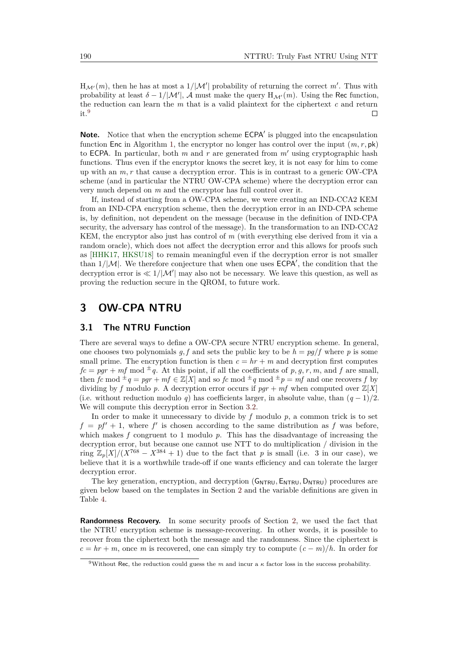$H_{\mathcal{M}'}(m)$ , then he has at most a  $1/|\mathcal{M}'|$  probability of returning the correct m'. Thus with probability at least  $\delta - 1/|\mathcal{M}'|$ , A must make the query  $H_{\mathcal{M}'}(m)$ . Using the Rec function, the reduction can learn the *m* that is a valid plaintext for the ciphertext *c* and return it.[9](#page-10-0)  $\Box$ 

**Note.** Notice that when the encryption scheme ECPA' is plugged into the encapsulation function Enc in Algorithm [1,](#page-8-0) the encryptor no longer has control over the input  $(m, r, \mathsf{pk})$ to ECPA. In particular, both  $m$  and  $r$  are generated from  $m'$  using cryptographic hash functions. Thus even if the encryptor knows the secret key, it is not easy for him to come up with an *m, r* that cause a decryption error. This is in contrast to a generic OW-CPA scheme (and in particular the NTRU OW-CPA scheme) where the decryption error can very much depend on *m* and the encryptor has full control over it.

If, instead of starting from a OW-CPA scheme, we were creating an IND-CCA2 KEM from an IND-CPA encryption scheme, then the decryption error in an IND-CPA scheme is, by definition, not dependent on the message (because in the definition of IND-CPA security, the adversary has control of the message). In the transformation to an IND-CCA2 KEM, the encryptor also just has control of *m* (with everything else derived from it via a random oracle), which does not affect the decryption error and this allows for proofs such as [\[HHK17,](#page-21-12) [HKSU18\]](#page-21-11) to remain meaningful even if the decryption error is not smaller than  $1/|\mathcal{M}|$ . We therefore conjecture that when one uses  $\mathsf{ECPA}'$ , the condition that the decryption error is  $\ll 1/|\mathcal{M}'|$  may also not be necessary. We leave this question, as well as proving the reduction secure in the QROM, to future work.

# **3 OW-CPA NTRU**

#### **3.1 The NTRU Function**

There are several ways to define a OW-CPA secure NTRU encryption scheme. In general, one chooses two polynomials  $q$ ,  $f$  and sets the public key to be  $h = \frac{pq}{f}$  where  $p$  is some small prime. The encryption function is then  $c = hr + m$  and decryption first computes  $fc = pgr + mf \mod \pm q$ . At this point, if all the coefficients of p, g, r, m, and f are small, then *fc* mod  $\pm q = pgr + mf \in \mathbb{Z}[X]$  and so *fc* mod  $\pm q$  mod  $\pm p = mf$  and one recovers *f* by dividing by *f* modulo *p*. A decryption error occurs if  $pgr + mf$  when computed over  $\mathbb{Z}[X]$ (i.e. without reduction modulo q) has coefficients larger, in absolute value, than  $(q-1)/2$ . We will compute this decryption error in Section [3.2.](#page-11-0)

In order to make it unnecessary to divide by *f* modulo *p*, a common trick is to set  $f = pf' + 1$ , where  $f'$  is chosen according to the same distribution as f was before, which makes  $f$  congruent to 1 modulo  $p$ . This has the disadvantage of increasing the decryption error, but because one cannot use NTT to do multiplication / division in the ring  $\mathbb{Z}_p[X]/(X^{768} - X^{384} + 1)$  due to the fact that p is small (i.e. 3 in our case), we believe that it is a worthwhile trade-off if one wants efficiency and can tolerate the larger decryption error.

The key generation, encryption, and decryption ( $G_{\text{NTRU}}$ ,  $E_{\text{NTRU}}$ ,  $D_{\text{NTRU}}$ ) procedures are given below based on the templates in Section [2](#page-6-2) and the variable definitions are given in Table [4.](#page-11-1)

**Randomness Recovery.** In some security proofs of Section [2,](#page-6-2) we used the fact that the NTRU encryption scheme is message-recovering. In other words, it is possible to recover from the ciphertext both the message and the randomness. Since the ciphertext is  $c = hr + m$ , once *m* is recovered, one can simply try to compute  $(c - m)/h$ . In order for

<span id="page-10-0"></span><sup>9</sup>Without Rec, the reduction could guess the *m* and incur a *κ* factor loss in the success probability.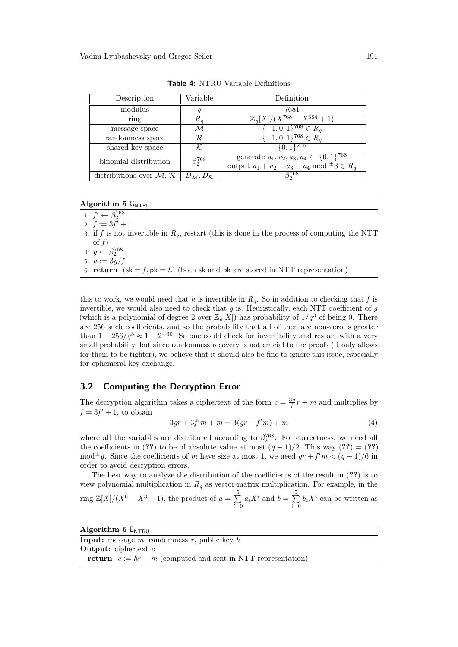<span id="page-11-1"></span>

| Description               | Variable               | Definition                                              |
|---------------------------|------------------------|---------------------------------------------------------|
| modulus                   |                        | 7681                                                    |
| ring                      | $R_a$                  | $\mathbb{Z}_q[X]/(X^{768}-X^{384}+1)$                   |
| message space             | М                      | $[-1, 0, 1]^{768} \in R_a$                              |
| randomness space          | R                      | $[-1,0,1]^{768} \in R_a$                                |
| shared key space          |                        | $\{0,1\}^{256}$                                         |
| binomial distribution     | $\beta_2^{768}$        | generate $a_1, a_2, a_3, a_4 \leftarrow \{0, 1\}^{768}$ |
|                           |                        | output $a_1 + a_2 - a_3 - a_4 \mod \pm 3 \in R_q$       |
| distributions over $M, R$ | $D_M, D_{\mathcal{R}}$ | $3^{768}$                                               |

**Table 4:** NTRU Variable Definitions

#### **Algorithm 5** G<sub>NTRU</sub>

1:  $f'$  ←  $\beta_2^{768}$ 2:  $f := 3f' + 1$ 3: if f is not invertible in  $R_q$ , restart (this is done in the process of computing the NTT of  $f$ ) 4:  $g \leftarrow \beta_2^{768}$ 5:  $h := 3q/f$ 6: **return**  $(\mathsf{sk} = f, \mathsf{pk} = h)$  (both sk and  $\mathsf{pk}$  are stored in NTT representation)

this to work, we would need that *h* is invertible in  $R_q$ . So in addition to checking that *f* is invertible, we would also need to check that *g* is. Heuristically, each NTT coefficient of *g* (which is a polynomial of degree 2 over  $\mathbb{Z}_q[X]$ ) has probability of  $1/q^3$  of being 0. There are 256 such coefficients, and so the probability that all of then are non-zero is greater than  $1 - 256/q^3 \approx 1 - 2^{-30}$ . So one could check for invertibility and restart with a very small probability, but since randomness recovery is not crucial to the proofs (it only allows for them to be tighter), we believe that it should also be fine to ignore this issue, especially for ephemeral key exchange.

#### <span id="page-11-0"></span>**3.2 Computing the Decryption Error**

The decryption algorithm takes a ciphertext of the form  $c = \frac{3g}{f}r + m$  and multiplies by  $f = 3f' + 1$ , to obtain

$$
3gr + 3f'm + m = 3(gr + f'm) + m
$$
\n(4)

where all the variables are distributed according to  $\beta_2^{768}$ . For correctness, we need all the coefficients in (??) to be of absolute value at most  $(q-1)/2$ . This way (??) = (??)  $\text{mod}^{\pm}q$ . Since the coefficients of *m* have size at most 1, we need  $gr + f'm < (q-1)/6$  in order to avoid decryption errors.

The best way to analyze the distribution of the coefficients of the result in (**??**) is to view polynomial multiplication in  $R_q$  as vector-matrix multiplication. For example, in the ring  $\mathbb{Z}[X]/(X^6 - X^3 + 1)$ , the product of  $a = \sum_{n=1}^{5}$  $\sum_{i=0}^{5} a_i X^i$  and  $b = \sum_{i=0}^{5} a_i$  $\sum_{i=0}$   $b_i X^i$  can be written as

| Algorithm $6 E_{NTRU}$ |  |  |
|------------------------|--|--|
|------------------------|--|--|

| <b>Input:</b> message $m$ , randomness $r$ , public key $h$           |  |
|-----------------------------------------------------------------------|--|
| <b>Output:</b> ciphertext $c$                                         |  |
| <b>return</b> $c := hr + m$ (computed and sent in NTT representation) |  |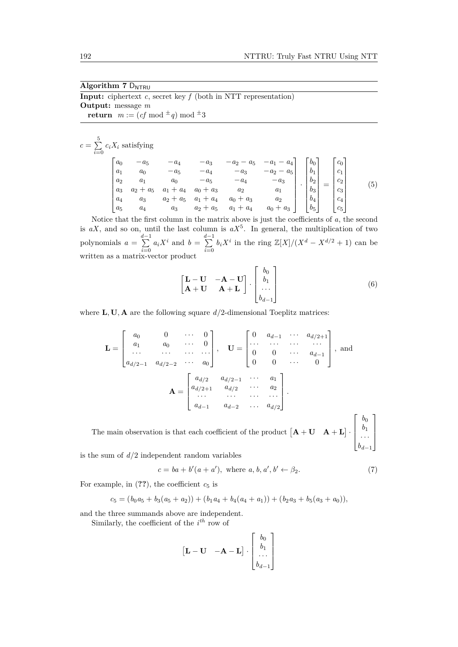| Algorithm $7\text{ D}_{\text{NTRII}}$                                      |
|----------------------------------------------------------------------------|
| <b>Input:</b> ciphertext $c$ , secret key $f$ (both in NTT representation) |
| <b>Output:</b> message $m$                                                 |
| <b>return</b> $m := (cf \mod \pm q) \mod \pm 3$                            |

$$
c = \sum_{i=0}^{5} c_i X_i \text{ satisfying}
$$
\n
$$
\begin{bmatrix}\na_0 & -a_5 & -a_4 & -a_3 & -a_2 - a_5 & -a_1 - a_4 \\
a_1 & a_0 & -a_5 & -a_4 & -a_3 & -a_2 - a_5 \\
a_2 & a_1 & a_0 & -a_5 & -a_4 & -a_3 \\
a_3 & a_2 + a_5 & a_1 + a_4 & a_0 + a_3 & a_2 & a_1 \\
a_4 & a_3 & a_2 + a_5 & a_1 + a_4 & a_0 + a_3 & a_2 \\
a_5 & a_4 & a_3 & a_2 + a_5 & a_1 + a_4 & a_0 + a_3\n\end{bmatrix} \cdot \begin{bmatrix}\nb_0 \\
b_1 \\
b_2 \\
b_3 \\
b_4 \\
b_5\n\end{bmatrix} = \begin{bmatrix}\nc_0 \\
c_1 \\
c_2 \\
c_3 \\
c_4 \\
c_5\n\end{bmatrix}
$$
\n(5)

Notice that the first column in the matrix above is just the coefficients of *a*, the second is  $aX$ , and so on, until the last column is  $aX^5$ . In general, the multiplication of two polynomials  $a = \sum_{n=1}^{d-1}$  $\sum_{i=0}^{d-1} a_i X^i$  and  $b = \sum_{i=0}^{d-1}$  $\sum_{i=0}^{n} b_i X^i$  in the ring  $\mathbb{Z}[X]/(X^d - X^{d/2} + 1)$  can be written as a matrix-vector product

$$
\begin{bmatrix} \mathbf{L} - \mathbf{U} & -\mathbf{A} - \mathbf{U} \\ \mathbf{A} + \mathbf{U} & \mathbf{A} + \mathbf{L} \end{bmatrix} \cdot \begin{bmatrix} b_0 \\ b_1 \\ \cdots \\ b_{d-1} \end{bmatrix}
$$
 (6)

where  $\mathbf{L}, \mathbf{U}, \mathbf{A}$  are the following square  $d/2$ -dimensional Toeplitz matrices:

$$
\mathbf{L} = \begin{bmatrix} a_0 & 0 & \cdots & 0 \\ a_1 & a_0 & \cdots & 0 \\ \cdots & \cdots & \cdots & \cdots \\ a_{d/2-1} & a_{d/2-2} & \cdots & a_0 \end{bmatrix}, \quad \mathbf{U} = \begin{bmatrix} 0 & a_{d-1} & \cdots & a_{d/2+1} \\ \cdots & \cdots & \cdots & \cdots \\ 0 & 0 & \cdots & a_{d-1} \\ 0 & 0 & \cdots & 0 \end{bmatrix}, \text{ and}
$$
\n
$$
\mathbf{A} = \begin{bmatrix} a_{d/2} & a_{d/2-1} & \cdots & a_1 \\ a_{d/2+1} & a_{d/2} & \cdots & a_2 \\ \vdots & \vdots & \ddots & \vdots \\ a_{d-1} & a_{d-2} & \cdots & a_{d/2} \end{bmatrix}.
$$
\nThe main observation is that each coefficient of the product  $[\mathbf{A} + \mathbf{U} \quad \mathbf{A} + \mathbf{L}] \cdot \begin{bmatrix} b_0 \\ b_1 \\ \vdots \\ b_1 \end{bmatrix}$ 

is the sum of  $d/2$  independent random variables

$$
c = ba + b'(a + a'), \text{ where } a, b, a', b' \leftarrow \beta_2. \tag{7}
$$

*bd*−<sup>1</sup>

For example, in  $(??)$ , the coefficient  $c_5$  is

$$
c_5 = (b_0a_5 + b_3(a_5 + a_2)) + (b_1a_4 + b_4(a_4 + a_1)) + (b_2a_3 + b_5(a_3 + a_0)),
$$

and the three summands above are independent.

Similarly, the coefficient of the *i th* row of

$$
\begin{bmatrix} \mathbf{L} - \mathbf{U} & -\mathbf{A} - \mathbf{L} \end{bmatrix} \cdot \begin{bmatrix} b_0 \\ b_1 \\ \dots \\ b_{d-1} \end{bmatrix}
$$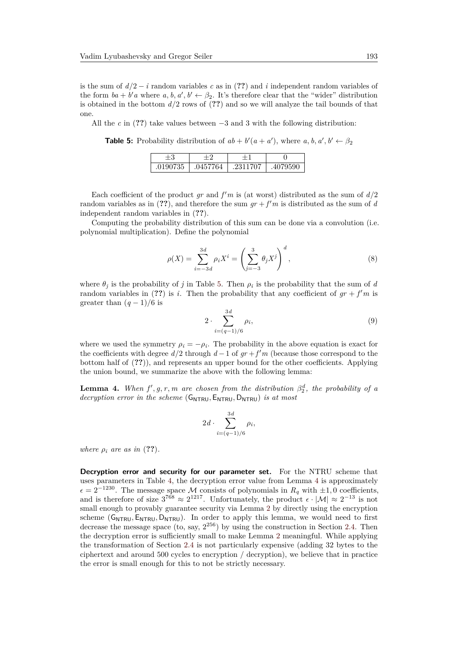is the sum of *d/*2 − *i* random variables *c* as in (**??**) and *i* independent random variables of the form  $ba + b'a$  where  $a, b, a', b' \leftarrow \beta_2$ . It's therefore clear that the "wider" distribution is obtained in the bottom *d/*2 rows of (**??**) and so we will analyze the tail bounds of that one.

<span id="page-13-0"></span>All the  $c$  in (??) take values between  $-3$  and 3 with the following distribution:

**Table 5:** Probability distribution of  $ab + b'(a + a')$ , where  $a, b, a', b' \leftarrow \beta_2$ 

| $\pm 3$ |                     |                 |          |
|---------|---------------------|-----------------|----------|
| 0190735 | 764<br>$.045^\circ$ | 2311707<br>.231 | .4079590 |

Each coefficient of the product  $gr$  and  $f'm$  is (at worst) distributed as the sum of  $d/2$ random variables as in (??), and therefore the sum  $gr + f'm$  is distributed as the sum of *d* independent random variables in (**??**).

Computing the probability distribution of this sum can be done via a convolution (i.e. polynomial multiplication). Define the polynomial

$$
\rho(X) = \sum_{i=-3d}^{3d} \rho_i X^i = \left(\sum_{j=-3}^3 \theta_j X^j\right)^d,
$$
\n(8)

where  $\theta_j$  is the probability of *j* in Table [5.](#page-13-0) Then  $\rho_i$  is the probability that the sum of *d* random variables in (??) is *i*. Then the probability that any coefficient of  $gr + f'm$  is greater than  $(q-1)/6$  is

$$
2 \cdot \sum_{i=(q-1)/6}^{3d} \rho_i,\tag{9}
$$

where we used the symmetry  $\rho_i = -\rho_i$ . The probability in the above equation is exact for the coefficients with degree  $d/2$  through  $d-1$  of  $gr+f'm$  (because those correspond to the bottom half of (**??**)), and represents an upper bound for the other coefficients. Applying the union bound, we summarize the above with the following lemma:

<span id="page-13-1"></span>**Lemma 4.** *When*  $f'$ ,  $g$ ,  $r$ ,  $m$  are chosen from the distribution  $\beta_2^d$ , the probability of a *decryption error in the scheme* (GNTRU*,* ENTRU*,* DNTRU) *is at most*

$$
2d \cdot \sum_{i=(q-1)/6}^{3d} \rho_i,
$$

*where*  $\rho_i$  *are as in* (??).

**Decryption error and security for our parameter set.** For the NTRU scheme that uses parameters in Table [4,](#page-11-1) the decryption error value from Lemma [4](#page-13-1) is approximately  $\epsilon = 2^{-1230}$ . The message space M consists of polynomials in  $R_q$  with  $\pm 1, 0$  coefficients, and is therefore of size  $3^{768} \approx 2^{1217}$ . Unfortunately, the product  $\epsilon \cdot |\mathcal{M}| \approx 2^{-13}$  is not small enough to provably guarantee security via Lemma [2](#page-8-2) by directly using the encryption scheme (G<sub>NTRU</sub>, E<sub>NTRU</sub>, D<sub>NTRU</sub>). In order to apply this lemma, we would need to first decrease the message space (to, say,  $2^{256}$ ) by using the construction in Section [2.4.](#page-9-0) Then the decryption error is sufficiently small to make Lemma [2](#page-8-2) meaningful. While applying the transformation of Section [2.4](#page-9-0) is not particularly expensive (adding 32 bytes to the ciphertext and around 500 cycles to encryption / decryption), we believe that in practice the error is small enough for this to not be strictly necessary.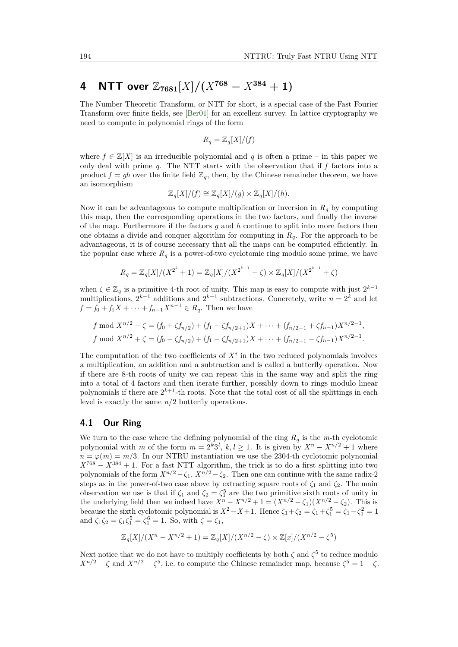# **4** NTT over  $\mathbb{Z}_{7681}[X]/(X^{768} - X^{384} + 1)$

The Number Theoretic Transform, or NTT for short, is a special case of the Fast Fourier Transform over finite fields, see [\[Ber01\]](#page-21-16) for an excellent survey. In lattice cryptography we need to compute in polynomial rings of the form

$$
R_q = \mathbb{Z}_q[X]/(f)
$$

where  $f \in \mathbb{Z}[X]$  is an irreducible polynomial and q is often a prime – in this paper we only deal with prime *q*. The NTT starts with the observation that if *f* factors into a product  $f = gh$  over the finite field  $\mathbb{Z}_q$ , then, by the Chinese remainder theorem, we have an isomorphism

$$
\mathbb{Z}_q[X]/(f) \cong \mathbb{Z}_q[X]/(g) \times \mathbb{Z}_q[X]/(h).
$$

Now it can be advantageous to compute multiplication or inversion in  $R_q$  by computing this map, then the corresponding operations in the two factors, and finally the inverse of the map. Furthermore if the factors *g* and *h* continue to split into more factors then one obtains a divide and conquer algorithm for computing in *Rq*. For the approach to be advantageous, it is of course necessary that all the maps can be computed efficiently. In the popular case where  $R_q$  is a power-of-two cyclotomic ring modulo some prime, we have

$$
R_q = \mathbb{Z}_q[X]/(X^{2^k} + 1) = \mathbb{Z}_q[X]/(X^{2^{k-1}} - \zeta) \times \mathbb{Z}_q[X]/(X^{2^{k-1}} + \zeta)
$$

when  $\zeta \in \mathbb{Z}_q$  is a primitive 4-th root of unity. This map is easy to compute with just  $2^{k-1}$ multiplications,  $2^{k-1}$  additions and  $2^{k-1}$  subtractions. Concretely, write  $n = 2^k$  and let *f* = *f*<sub>0</sub> + *f*<sub>1</sub>*X* +  $\cdots$  + *f*<sub>*n*−1</sub>*X*<sup>*n*−1</sup> ∈ *R*<sub>*q*</sub>. Then we have

$$
f \bmod X^{n/2} - \zeta = (f_0 + \zeta f_{n/2}) + (f_1 + \zeta f_{n/2+1})X + \dots + (f_{n/2-1} + \zeta f_{n-1})X^{n/2-1},
$$
  

$$
f \bmod X^{n/2} + \zeta = (f_0 - \zeta f_{n/2}) + (f_1 - \zeta f_{n/2+1})X + \dots + (f_{n/2-1} - \zeta f_{n-1})X^{n/2-1}.
$$

The computation of the two coefficients of  $X^i$  in the two reduced polynomials involves a multiplication, an addition and a subtraction and is called a butterfly operation. Now if there are 8-th roots of unity we can repeat this in the same way and split the ring into a total of 4 factors and then iterate further, possibly down to rings modulo linear polynomials if there are  $2^{k+1}$ -th roots. Note that the total cost of all the splittings in each level is exactly the same *n/*2 butterfly operations.

#### **4.1 Our Ring**

We turn to the case where the defining polynomial of the ring  $R_q$  is the *m*-th cyclotomic polynomial with *m* of the form  $m = 2^k 3^l$ ,  $k, l \ge 1$ . It is given by  $X^n - X^{n/2} + 1$  where  $n = \varphi(m) = m/3$ . In our NTRU instantiation we use the 2304-th cyclotomic polynomial  $X^{768} - X^{384} + 1$ . For a fast NTT algorithm, the trick is to do a first splitting into two polynomials of the form  $X^{n/2} - \zeta_1$ ,  $X^{n/2} - \zeta_2$ . Then one can continue with the same radix-2 steps as in the power-of-two case above by extracting square roots of  $\zeta_1$  and  $\zeta_2$ . The main observation we use is that if  $\zeta_1$  and  $\zeta_2 = \zeta_1^5$  are the two primitive sixth roots of unity in the underlying field then we indeed have  $X^n - X^{n/2} + 1 = (X^{n/2} - \zeta_1)(X^{n/2} - \zeta_2)$ . This is because the sixth cyclotomic polynomial is  $X^2 - X + 1$ . Hence  $\zeta_1 + \zeta_2 = \zeta_1 + \zeta_1^5 = \zeta_1 - \zeta_1^2 = 1$ and  $\zeta_1 \zeta_2 = \zeta_1 \zeta_1^5 = \zeta_1^6 = 1$ . So, with  $\zeta = \zeta_1$ ,

$$
\mathbb{Z}_q[X]/(X^n - X^{n/2} + 1) = \mathbb{Z}_q[X]/(X^{n/2} - \zeta) \times \mathbb{Z}[x]/(X^{n/2} - \zeta^5)
$$

Next notice that we do not have to multiply coefficients by both  $\zeta$  and  $\zeta^5$  to reduce modulo  $X^{n/2} - \zeta$  and  $X^{n/2} - \zeta^5$ , i.e. to compute the Chinese remainder map, because  $\zeta^5 = 1 - \zeta$ .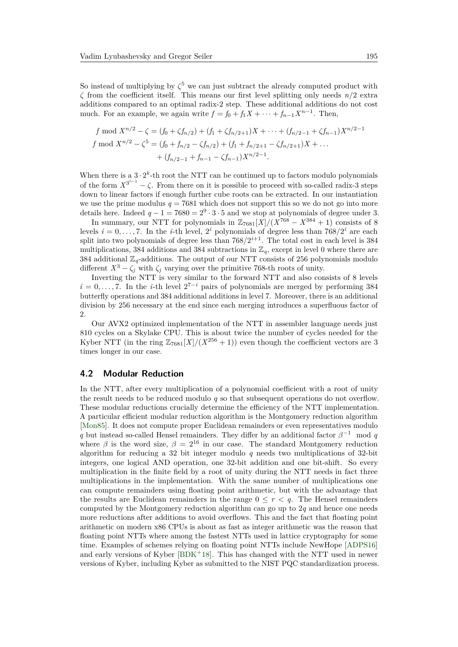So instead of multiplying by  $\zeta^5$  we can just subtract the already computed product with *ζ* from the coefficient itself. This means our first level splitting only needs *n/*2 extra additions compared to an optimal radix-2 step. These additional additions do not cost much. For an example, we again write  $f = f_0 + f_1 X + \cdots + f_{n-1} X^{n-1}$ . Then,

$$
f \bmod X^{n/2} - \zeta = (f_0 + \zeta f_{n/2}) + (f_1 + \zeta f_{n/2+1})X + \dots + (f_{n/2-1} + \zeta f_{n-1})X^{n/2-1}
$$
  

$$
f \bmod X^{n/2} - \zeta^5 = (f_0 + f_{n/2} - \zeta f_{n/2}) + (f_1 + f_{n/2+1} - \zeta f_{n/2+1})X + \dots
$$
  

$$
+ (f_{n/2-1} + f_{n-1} - \zeta f_{n-1})X^{n/2-1}.
$$

When there is a  $3 \cdot 2^k$ -th root the NTT can be continued up to factors modulo polynomials of the form  $X^{3^{l-1}} - \zeta$ . From there on it is possible to proceed with so-called radix-3 steps down to linear factors if enough further cube roots can be extracted. In our instantiation we use the prime modulus  $q = 7681$  which does not support this so we do not go into more details here. Indeed  $q - 1 = 7680 = 2<sup>9</sup> \cdot 3 \cdot 5$  and we stop at polynomials of degree under 3.

In summary, our NTT for polynomials in  $\mathbb{Z}_{7681}[\overline{X}]/(\overline{X}^{768} - X^{384} + 1)$  consists of 8 levels  $i = 0, \ldots, 7$ . In the *i*-th level,  $2<sup>i</sup>$  polynomials of degree less than  $768/2<sup>i</sup>$  are each split into two polynomials of degree less than  $768/2^{i+1}$ . The total cost in each level is 384 multiplications, 384 additions and 384 subtractions in  $\mathbb{Z}_q$ , except in level 0 where there are 384 additional  $\mathbb{Z}_q$ -additions. The output of our NTT consists of 256 polynomials modulo different  $X^3 - \zeta_i$  with  $\zeta_i$  varying over the primitive 768-th roots of unity.

Inverting the NTT is very similar to the forward NTT and also consists of 8 levels  $i = 0, \ldots, 7$ . In the *i*-th level  $2^{7-i}$  pairs of polynomials are merged by performing 384 butterfly operations and 384 additional additions in level 7. Moreover, there is an additional division by 256 necessary at the end since each merging introduces a superfluous factor of 2.

Our AVX2 optimized implementation of the NTT in assembler language needs just 810 cycles on a Skylake CPU. This is about twice the number of cycles needed for the Kyber NTT (in the ring  $\mathbb{Z}_{7681}[X]/(X^{256}+1)$ ) even though the coefficient vectors are 3 times longer in our case.

#### **4.2 Modular Reduction**

In the NTT, after every multiplication of a polynomial coefficient with a root of unity the result needs to be reduced modulo *q* so that subsequent operations do not overflow. These modular reductions crucially determine the efficiency of the NTT implementation. A particular efficient modular reduction algorithm is the Montgomery reduction algorithm [\[Mon85\]](#page-21-17). It does not compute proper Euclidean remainders or even representatives modulo *q* but instead so-called Hensel remainders. They differ by an additional factor  $\beta^{-1}$  mod *q* where  $\beta$  is the word size,  $\beta = 2^{16}$  in our case. The standard Montgomery reduction algorithm for reducing a 32 bit integer modulo *q* needs two multiplications of 32-bit integers, one logical AND operation, one 32-bit addition and one bit-shift. So every multiplication in the finite field by a root of unity during the NTT needs in fact three multiplications in the implementation. With the same number of multiplications one can compute remainders using floating point arithmetic, but with the advantage that the results are Euclidean remainders in the range  $0 \leq r \leq q$ . The Hensel remainders computed by the Montgomery reduction algorithm can go up to 2*q* and hence one needs more reductions after additions to avoid overflows. This and the fact that floating point arithmetic on modern x86 CPUs is about as fast as integer arithmetic was the reason that floating point NTTs where among the fastest NTTs used in lattice cryptography for some time. Examples of schemes relying on floating point NTTs include NewHope [\[ADPS16\]](#page-20-0) and early versions of Kyber [\[BDK](#page-20-1)<sup>+</sup>18]. This has changed with the NTT used in newer versions of Kyber, including Kyber as submitted to the NIST PQC standardization process.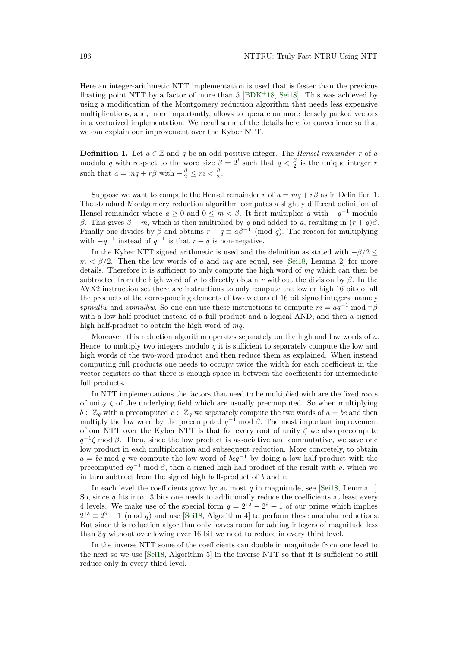Here an integer-arithmetic NTT implementation is used that is faster than the previous floating point NTT by a factor of more than  $5$  [\[BDK](#page-20-1)<sup>+</sup>18, [Sei18\]](#page-21-8). This was achieved by using a modification of the Montgomery reduction algorithm that needs less expensive multiplications, and, more importantly, allows to operate on more densely packed vectors in a vectorized implementation. We recall some of the details here for convenience so that we can explain our improvement over the Kyber NTT.

<span id="page-16-0"></span>**Definition 1.** Let  $a \in \mathbb{Z}$  and  $q$  be an odd positive integer. The *Hensel remainder*  $r$  of  $a$ modulo *q* with respect to the word size  $\beta = 2^l$  such that  $q < \frac{\beta}{2}$  is the unique integer *r* such that  $a = mq + r\beta$  with  $-\frac{\beta}{2} \leq m < \frac{\beta}{2}$ .

Suppose we want to compute the Hensel remainder *r* of  $a = mq + r\beta$  as in Definition [1.](#page-16-0) The standard Montgomery reduction algorithm computes a slightly different definition of Hensel remainder where  $a \geq 0$  and  $0 \leq m < \beta$ . It first multiplies  $a$  with  $-q^{-1}$  modulo *β*. This gives  $β - m$ , which is then multiplied by *q* and added to *a*, resulting in  $(r + q)β$ . Finally one divides by  $\beta$  and obtains  $r + q \equiv a\beta^{-1} \pmod{q}$ . The reason for multiplying with  $-q^{-1}$  instead of  $q^{-1}$  is that  $r + q$  is non-negative.

In the Kyber NTT signed arithmetic is used and the definition as stated with −*β/*2 ≤  $m < \beta/2$ . Then the low words of *a* and *mq* are equal, see [\[Sei18,](#page-21-8) Lemma 2] for more details. Therefore it is sufficient to only compute the high word of *mq* which can then be subtracted from the high word of *a* to directly obtain *r* without the division by *β*. In the AVX2 instruction set there are instructions to only compute the low or high 16 bits of all the products of the corresponding elements of two vectors of 16 bit signed integers, namely *vpmullw* and *vpmulhw*. So one can use these instructions to compute  $m = aq^{-1} \mod \pm \beta$ with a low half-product instead of a full product and a logical AND, and then a signed high half-product to obtain the high word of *mq*.

Moreover, this reduction algorithm operates separately on the high and low words of *a*. Hence, to multiply two integers modulo *q* it is sufficient to separately compute the low and high words of the two-word product and then reduce them as explained. When instead computing full products one needs to occupy twice the width for each coefficient in the vector registers so that there is enough space in between the coefficients for intermediate full products.

In NTT implementations the factors that need to be multiplied with are the fixed roots of unity *ζ* of the underlying field which are usually precomputed. So when multiplying  $b \in \mathbb{Z}_q$  with a precomputed  $c \in \mathbb{Z}_q$  we separately compute the two words of  $a = bc$  and then multiply the low word by the precomputed  $q^{-1}$  mod  $\beta$ . The most important improvement of our NTT over the Kyber NTT is that for every root of unity *ζ* we also precompute  $q^{-1}\zeta$  mod *β*. Then, since the low product is associative and commutative, we save one low product in each multiplication and subsequent reduction. More concretely, to obtain  $a = bc \mod q$  we compute the low word of  $bcq^{-1}$  by doing a low half-product with the precomputed  $cq^{-1}$  mod  $\beta$ , then a signed high half-product of the result with *q*, which we in turn subtract from the signed high half-product of *b* and *c*.

In each level the coefficients grow by at most *q* in magnitude, see [\[Sei18,](#page-21-8) Lemma 1]. So, since *q* fits into 13 bits one needs to additionally reduce the coefficients at least every 4 levels. We make use of the special form  $q = 2^{13} - 2^9 + 1$  of our prime which implies  $2^{13} \equiv 2^9 - 1 \pmod{q}$  and use [\[Sei18,](#page-21-8) Algorithm 4] to perform these modular reductions. But since this reduction algorithm only leaves room for adding integers of magnitude less than 3*q* without overflowing over 16 bit we need to reduce in every third level.

In the inverse NTT some of the coefficients can double in magnitude from one level to the next so we use [\[Sei18,](#page-21-8) Algorithm 5] in the inverse NTT so that it is sufficient to still reduce only in every third level.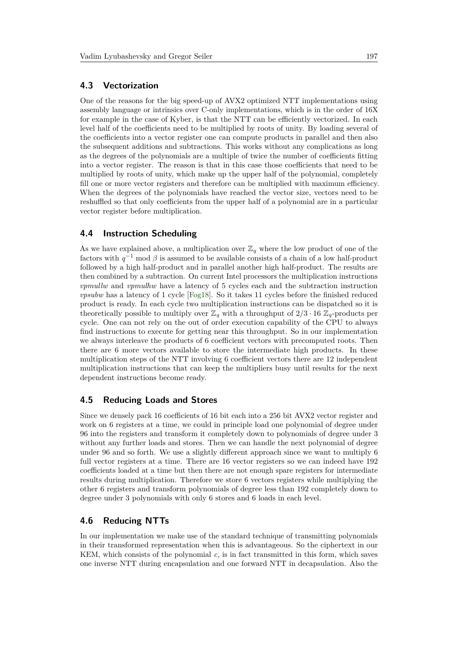#### **4.3 Vectorization**

One of the reasons for the big speed-up of AVX2 optimized NTT implementations using assembly language or intrinsics over C-only implementations, which is in the order of 16X for example in the case of Kyber, is that the NTT can be efficiently vectorized. In each level half of the coefficients need to be multiplied by roots of unity. By loading several of the coefficients into a vector register one can compute products in parallel and then also the subsequent additions and subtractions. This works without any complications as long as the degrees of the polynomials are a multiple of twice the number of coefficients fitting into a vector register. The reason is that in this case those coefficients that need to be multiplied by roots of unity, which make up the upper half of the polynomial, completely fill one or more vector registers and therefore can be multiplied with maximum efficiency. When the degrees of the polynomials have reached the vector size, vectors need to be reshuffled so that only coefficients from the upper half of a polynomial are in a particular vector register before multiplication.

#### **4.4 Instruction Scheduling**

As we have explained above, a multiplication over  $\mathbb{Z}_q$  where the low product of one of the factors with  $q^{-1}$  mod  $\beta$  is assumed to be available consists of a chain of a low half-product followed by a high half-product and in parallel another high half-product. The results are then combined by a subtraction. On current Intel processors the multiplication instructions *vpmullw* and *vpmulhw* have a latency of 5 cycles each and the subtraction instruction *vpsubw* has a latency of 1 cycle [\[Fog18\]](#page-21-18). So it takes 11 cycles before the finished reduced product is ready. In each cycle two multiplication instructions can be dispatched so it is theoretically possible to multiply over  $\mathbb{Z}_q$  with a throughput of  $2/3 \cdot 16 \mathbb{Z}_q$ -products per cycle. One can not rely on the out of order execution capability of the CPU to always find instructions to execute for getting near this throughput. So in our implementation we always interleave the products of 6 coefficient vectors with precomputed roots. Then there are 6 more vectors available to store the intermediate high products. In these multiplication steps of the NTT involving 6 coefficient vectors there are 12 independent multiplication instructions that can keep the multipliers busy until results for the next dependent instructions become ready.

#### **4.5 Reducing Loads and Stores**

Since we densely pack 16 coefficients of 16 bit each into a 256 bit AVX2 vector register and work on 6 registers at a time, we could in principle load one polynomial of degree under 96 into the registers and transform it completely down to polynomials of degree under 3 without any further loads and stores. Then we can handle the next polynomial of degree under 96 and so forth. We use a slightly different approach since we want to multiply 6 full vector registers at a time. There are 16 vector registers so we can indeed have 192 coefficients loaded at a time but then there are not enough spare registers for intermediate results during multiplication. Therefore we store 6 vectors registers while multiplying the other 6 registers and transform polynomials of degree less than 192 completely down to degree under 3 polynomials with only 6 stores and 6 loads in each level.

### **4.6 Reducing NTTs**

In our implementation we make use of the standard technique of transmitting polynomials in their transformed representation when this is advantageous. So the ciphertext in our KEM, which consists of the polynomial *c*, is in fact transmitted in this form, which saves one inverse NTT during encapsulation and one forward NTT in decapsulation. Also the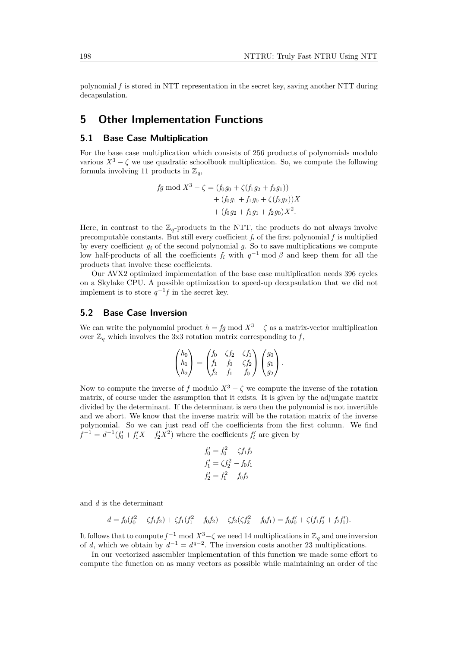polynomial *f* is stored in NTT representation in the secret key, saving another NTT during decapsulation.

## **5 Other Implementation Functions**

## **5.1 Base Case Multiplication**

For the base case multiplication which consists of 256 products of polynomials modulo various  $X^3 - \zeta$  we use quadratic schoolbook multiplication. So, we compute the following formula involving 11 products in  $\mathbb{Z}_q$ ,

$$
fg \bmod X^3 - \zeta = (f_0g_0 + \zeta(f_1g_2 + f_2g_1))
$$
  
+  $(f_0g_1 + f_1g_0 + \zeta(f_2g_2))X$   
+  $(f_0g_2 + f_1g_1 + f_2g_0)X^2$ .

Here, in contrast to the  $\mathbb{Z}_q$ -products in the NTT, the products do not always involve precomputable constants. But still every coefficient  $f_i$  of the first polynomial  $f$  is multiplied by every coefficient *g<sup>i</sup>* of the second polynomial *g*. So to save multiplications we compute low half-products of all the coefficients  $f_i$  with  $q^{-1}$  mod  $\beta$  and keep them for all the products that involve these coefficients.

Our AVX2 optimized implementation of the base case multiplication needs 396 cycles on a Skylake CPU. A possible optimization to speed-up decapsulation that we did not implement is to store  $q^{-1}f$  in the secret key.

#### **5.2 Base Case Inversion**

We can write the polynomial product  $h = fg \mod X^3 - \zeta$  as a matrix-vector multiplication over  $\mathbb{Z}_q$  which involves the 3x3 rotation matrix corresponding to *f*,

$$
\begin{pmatrix} h_0 \\ h_1 \\ h_2 \end{pmatrix} = \begin{pmatrix} f_0 & \zeta f_2 & \zeta f_1 \\ f_1 & f_0 & \zeta f_2 \\ f_2 & f_1 & f_0 \end{pmatrix} \begin{pmatrix} g_0 \\ g_1 \\ g_2 \end{pmatrix}.
$$

Now to compute the inverse of *f* modulo  $X^3 - \zeta$  we compute the inverse of the rotation matrix, of course under the assumption that it exists. It is given by the adjungate matrix divided by the determinant. If the determinant is zero then the polynomial is not invertible and we abort. We know that the inverse matrix will be the rotation matrix of the inverse polynomial. So we can just read off the coefficients from the first column. We find  $f^{-1} = d^{-1}(f'_0 + f'_1X + f'_2X^2)$  where the coefficients  $f'_i$  are given by

$$
f'_0 = f_0^2 - \zeta f_1 f_2
$$
  
\n
$$
f'_1 = \zeta f_2^2 - f_0 f_1
$$
  
\n
$$
f'_2 = f_1^2 - f_0 f_2
$$

and *d* is the determinant

$$
d = f_0(f_0^2 - \zeta f_1 f_2) + \zeta f_1(f_1^2 - f_0 f_2) + \zeta f_2(\zeta f_2^2 - f_0 f_1) = f_0 f_0' + \zeta (f_1 f_2' + f_2 f_1').
$$

It follows that to compute  $f^{-1}$  mod  $X^3-\zeta$  we need 14 multiplications in  $\mathbb{Z}_q$  and one inversion of *d*, which we obtain by  $d^{-1} = d^{q-2}$ . The inversion costs another 23 multiplications.

In our vectorized assembler implementation of this function we made some effort to compute the function on as many vectors as possible while maintaining an order of the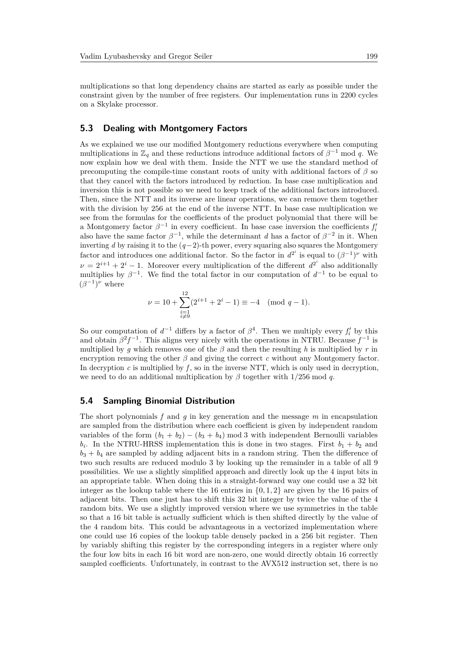multiplications so that long dependency chains are started as early as possible under the constraint given by the number of free registers. Our implementation runs in 2200 cycles on a Skylake processor.

#### **5.3 Dealing with Montgomery Factors**

As we explained we use our modified Montgomery reductions everywhere when computing multiplications in  $\mathbb{Z}_q$  and these reductions introduce additional factors of  $\beta^{-1}$  mod q. We now explain how we deal with them. Inside the NTT we use the standard method of precomputing the compile-time constant roots of unity with additional factors of  $\beta$  so that they cancel with the factors introduced by reduction. In base case multiplication and inversion this is not possible so we need to keep track of the additional factors introduced. Then, since the NTT and its inverse are linear operations, we can remove them together with the division by 256 at the end of the inverse NTT. In base case multiplication we see from the formulas for the coefficients of the product polynomial that there will be a Montgomery factor  $\beta^{-1}$  in every coefficient. In base case inversion the coefficients  $f_i'$ also have the same factor  $\beta^{-1}$ , while the determinant *d* has a factor of  $\beta^{-2}$  in it. When inverting *d* by raising it to the (*q*−2)-th power, every squaring also squares the Montgomery factor and introduces one additional factor. So the factor in  $d^{2^i}$  is equal to  $(\beta^{-1})^{\nu}$  with  $\nu = 2^{i+1} + 2^i - 1$ . Moreover every multiplication of the different  $d^{2^i}$  also additionally multiplies by  $\beta^{-1}$ . We find the total factor in our computation of  $d^{-1}$  to be equal to  $(\beta^{-1})^{\nu}$  where

$$
\nu = 10 + \sum_{\substack{i=1 \ i \neq 9}}^{12} (2^{i+1} + 2^i - 1) \equiv -4 \pmod{q-1}.
$$

So our computation of  $d^{-1}$  differs by a factor of  $\beta^4$ . Then we multiply every  $f'_i$  by this and obtain  $\beta^2 f^{-1}$ . This aligns very nicely with the operations in NTRU. Because  $f^{-1}$  is multiplied by *q* which removes one of the  $\beta$  and then the resulting *h* is multiplied by *r* in encryption removing the other  $\beta$  and giving the correct  $c$  without any Montgomery factor. In decryption  $c$  is multiplied by  $f$ , so in the inverse NTT, which is only used in decryption, we need to do an additional multiplication by *β* together with 1*/*256 mod *q*.

#### **5.4 Sampling Binomial Distribution**

The short polynomials *f* and *g* in key generation and the message *m* in encapsulation are sampled from the distribution where each coefficient is given by independent random variables of the form  $(b_1 + b_2) - (b_3 + b_4)$  mod 3 with independent Bernoulli variables  $b_i$ . In the NTRU-HRSS implementation this is done in two stages. First  $b_1 + b_2$  and  $b_3 + b_4$  are sampled by adding adjacent bits in a random string. Then the difference of two such results are reduced modulo 3 by looking up the remainder in a table of all 9 possibilities. We use a slightly simplified approach and directly look up the 4 input bits in an appropriate table. When doing this in a straight-forward way one could use a 32 bit integer as the lookup table where the 16 entries in  $\{0, 1, 2\}$  are given by the 16 pairs of adjacent bits. Then one just has to shift this 32 bit integer by twice the value of the 4 random bits. We use a slightly improved version where we use symmetries in the table so that a 16 bit table is actually sufficient which is then shifted directly by the value of the 4 random bits. This could be advantageous in a vectorized implementation where one could use 16 copies of the lookup table densely packed in a 256 bit register. Then by variably shifting this register by the corresponding integers in a register where only the four low bits in each 16 bit word are non-zero, one would directly obtain 16 correctly sampled coefficients. Unfortunately, in contrast to the AVX512 instruction set, there is no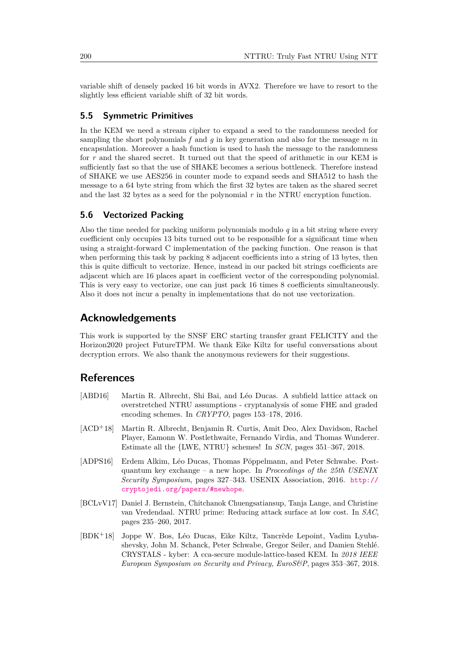variable shift of densely packed 16 bit words in AVX2. Therefore we have to resort to the slightly less efficient variable shift of 32 bit words.

#### **5.5 Symmetric Primitives**

In the KEM we need a stream cipher to expand a seed to the randomness needed for sampling the short polynomials *f* and *g* in key generation and also for the message *m* in encapsulation. Moreover a hash function is used to hash the message to the randomness for *r* and the shared secret. It turned out that the speed of arithmetic in our KEM is sufficiently fast so that the use of SHAKE becomes a serious bottleneck. Therefore instead of SHAKE we use AES256 in counter mode to expand seeds and SHA512 to hash the message to a 64 byte string from which the first 32 bytes are taken as the shared secret and the last 32 bytes as a seed for the polynomial *r* in the NTRU encryption function.

#### **5.6 Vectorized Packing**

Also the time needed for packing uniform polynomials modulo  $q$  in a bit string where every coefficient only occupies 13 bits turned out to be responsible for a significant time when using a straight-forward C implementation of the packing function. One reason is that when performing this task by packing 8 adjacent coefficients into a string of 13 bytes, then this is quite difficult to vectorize. Hence, instead in our packed bit strings coefficients are adjacent which are 16 places apart in coefficient vector of the corresponding polynomial. This is very easy to vectorize, one can just pack 16 times 8 coefficients simultaneously. Also it does not incur a penalty in implementations that do not use vectorization.

## **Acknowledgements**

This work is supported by the SNSF ERC starting transfer grant FELICITY and the Horizon2020 project FutureTPM. We thank Eike Kiltz for useful conversations about decryption errors. We also thank the anonymous reviewers for their suggestions.

## **References**

- <span id="page-20-4"></span>[ABD16] Martin R. Albrecht, Shi Bai, and Léo Ducas. A subfield lattice attack on overstretched NTRU assumptions - cryptanalysis of some FHE and graded encoding schemes. In *CRYPTO*, pages 153–178, 2016.
- <span id="page-20-3"></span>[ACD<sup>+</sup>18] Martin R. Albrecht, Benjamin R. Curtis, Amit Deo, Alex Davidson, Rachel Player, Eamonn W. Postlethwaite, Fernando Virdia, and Thomas Wunderer. Estimate all the {LWE, NTRU} schemes! In *SCN*, pages 351–367, 2018.
- <span id="page-20-0"></span>[ADPS16] Erdem Alkim, Léo Ducas, Thomas Pöppelmann, and Peter Schwabe. Postquantum key exchange – a new hope. In *Proceedings of the 25th USENIX Security Symposium*, pages 327–343. USENIX Association, 2016. [http://](http://cryptojedi.org/papers/#newhope) [cryptojedi.org/papers/#newhope](http://cryptojedi.org/papers/#newhope).
- <span id="page-20-2"></span>[BCLvV17] Daniel J. Bernstein, Chitchanok Chuengsatiansup, Tanja Lange, and Christine van Vredendaal. NTRU prime: Reducing attack surface at low cost. In *SAC*, pages 235–260, 2017.
- <span id="page-20-1"></span>[BDK<sup>+</sup>18] Joppe W. Bos, Léo Ducas, Eike Kiltz, Tancrède Lepoint, Vadim Lyubashevsky, John M. Schanck, Peter Schwabe, Gregor Seiler, and Damien Stehlé. CRYSTALS - kyber: A cca-secure module-lattice-based KEM. In *2018 IEEE European Symposium on Security and Privacy, EuroS&P*, pages 353–367, 2018.